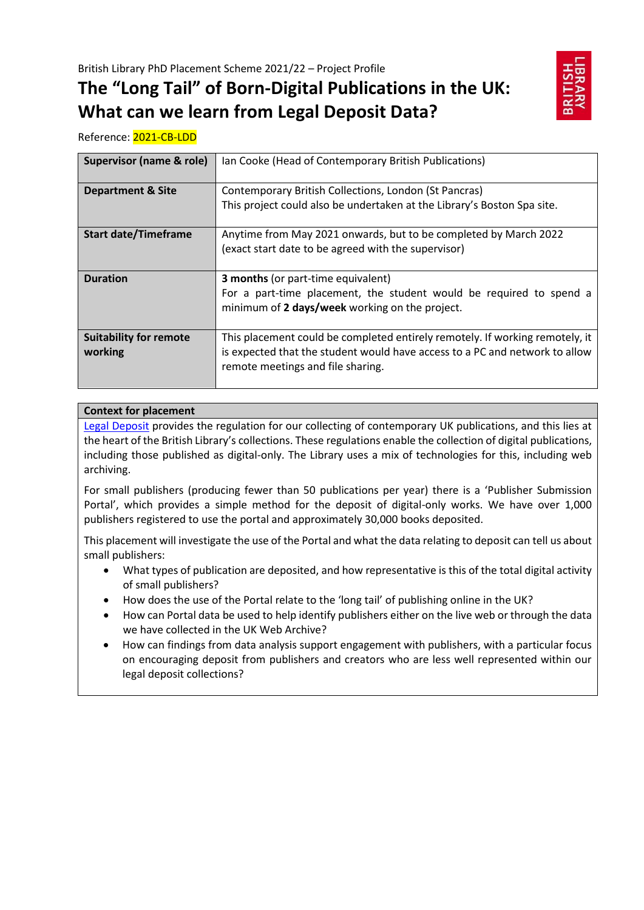# **The "Long Tail" of Born-Digital Publications in the UK: What can we learn from Legal Deposit Data?**



Reference: 2021-CB-LDD

| Supervisor (name & role)                 | Ian Cooke (Head of Contemporary British Publications)                                                                                                                                            |
|------------------------------------------|--------------------------------------------------------------------------------------------------------------------------------------------------------------------------------------------------|
| <b>Department &amp; Site</b>             | Contemporary British Collections, London (St Pancras)<br>This project could also be undertaken at the Library's Boston Spa site.                                                                 |
|                                          |                                                                                                                                                                                                  |
| <b>Start date/Timeframe</b>              | Anytime from May 2021 onwards, but to be completed by March 2022<br>(exact start date to be agreed with the supervisor)                                                                          |
| <b>Duration</b>                          | <b>3 months</b> (or part-time equivalent)<br>For a part-time placement, the student would be required to spend a<br>minimum of 2 days/week working on the project.                               |
| <b>Suitability for remote</b><br>working | This placement could be completed entirely remotely. If working remotely, it<br>is expected that the student would have access to a PC and network to allow<br>remote meetings and file sharing. |

# **Context for placement**

[Legal Deposit](https://www.bl.uk/legal-deposit) provides the regulation for our collecting of contemporary UK publications, and this lies at the heart of the British Library's collections. These regulations enable the collection of digital publications, including those published as digital-only. The Library uses a mix of technologies for this, including web archiving.

For small publishers (producing fewer than 50 publications per year) there is a 'Publisher Submission Portal', which provides a simple method for the deposit of digital-only works. We have over 1,000 publishers registered to use the portal and approximately 30,000 books deposited.

This placement will investigate the use of the Portal and what the data relating to deposit can tell us about small publishers:

- What types of publication are deposited, and how representative is this of the total digital activity of small publishers?
- How does the use of the Portal relate to the 'long tail' of publishing online in the UK?
- How can Portal data be used to help identify publishers either on the live web or through the data we have collected in the UK Web Archive?
- How can findings from data analysis support engagement with publishers, with a particular focus on encouraging deposit from publishers and creators who are less well represented within our legal deposit collections?